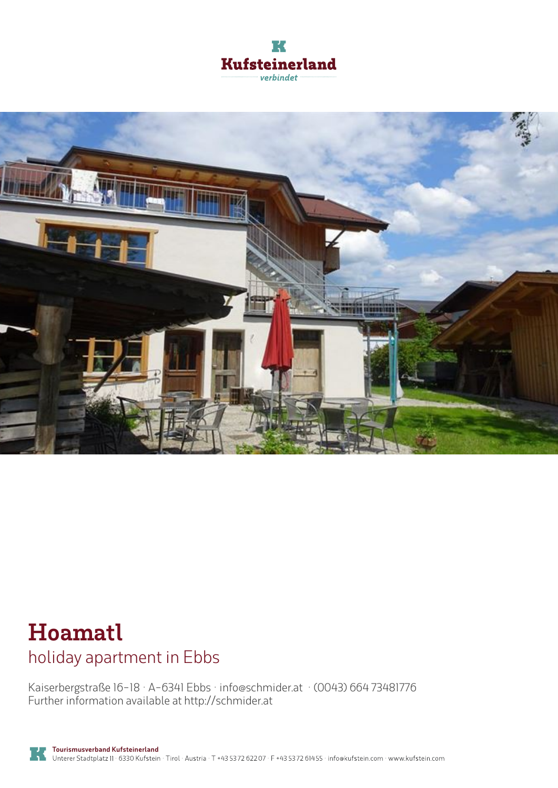



## **Hoamatl** holiday apartment in Ebbs

Kaiserbergstraße 16-18 · A-6341 Ebbs · **info@schmider.at** · **(0043) 664 73481776** Further information available at **http://schmider.at**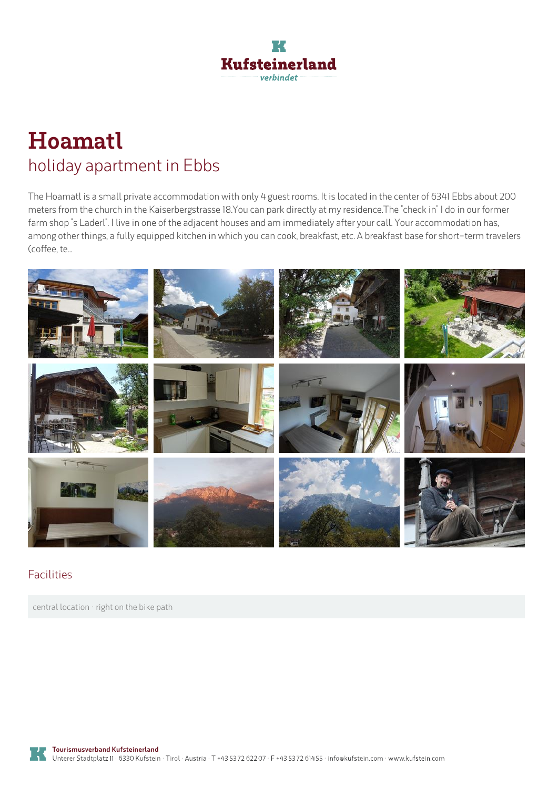

# **Hoamatl** holiday apartment in Ebbs

The Hoamatl is a small private accommodation with only 4 guest rooms. It is located in the center of 6341 Ebbs about 200 meters from the church in the Kaiserbergstrasse 18.You can park directly at my residence.The "check in" I do in our former farm shop "s Laderl". I live in one of the adjacent houses and am immediately after your call. Your accommodation has, among other things, a fully equipped kitchen in which you can cook, breakfast, etc. A breakfast base for short-term travelers (coffee, te...



#### Facilities

central location · right on the bike path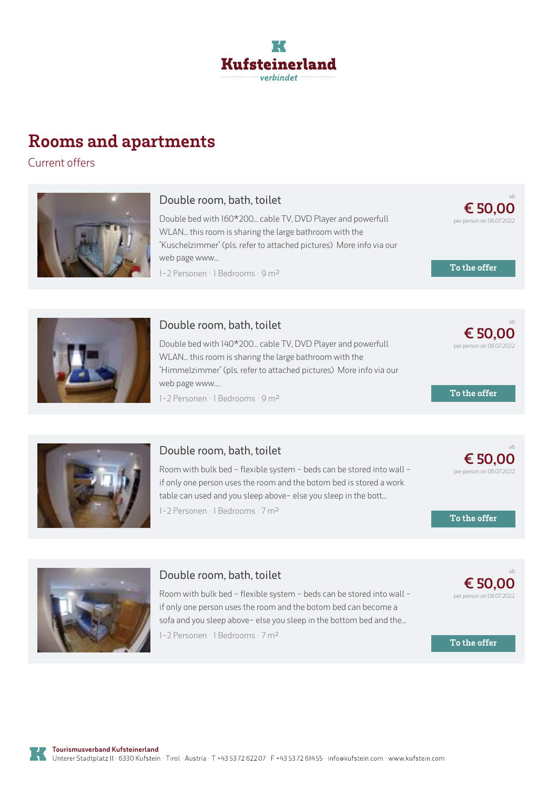

### **Rooms and apartments**

Current offers



#### **Double room, bath, toilet**

Double bed with 160\*200... cable TV, DVD Player and powerfull WLAN... this room is sharing the large bathroom with the "Kuschelzimmer" (pls. refer to attached pictures) More info via our web page www... 1-2 Personen · 1 Bedrooms · 9 m<sup>2</sup>



**To the offer**

**To the offer**

ab

ab

**€ [50,00](https://www.kufstein.com/en/book/ebbs/holiday-apartment/hoamatl.html?utm_medium=PDF&utm_campaign=Vermieter-Prospekt&utm_source=Hoamatl)** per person on 06.07.2022



#### **Double room, bath, toilet**

Double bed with 140\*200... cable TV, DVD Player and powerfull WLAN... this room is sharing the large bathroom with the "Himmelzimmer" (pls. refer to attached pictures) More info via our web page www....

1-2 Personen · 1 Bedrooms · 9 <sup>m</sup><sup>²</sup>



#### **Double room, bath, toilet**

Room with bulk bed - flexible system - beds can be stored into wall if only one person uses the room and the botom bed is stored <sup>a</sup> work table can used and you sleep above- else you sleep in the bott... 1-2 Personen · 1 Bedrooms · 7 <sup>m</sup><sup>²</sup>



ab

**€ [50,00](https://www.kufstein.com/en/book/ebbs/holiday-apartment/hoamatl.html?utm_medium=PDF&utm_campaign=Vermieter-Prospekt&utm_source=Hoamatl)** per person on 06.07.2022

**To the offer**

**To the offer**



#### **Double room, bath, toilet**

Room with bulk bed - flexible system - beds can be stored into wall if only one person uses the room and the botom bed can become <sup>a</sup> sofa and you sleep above- else you sleep in the bottom bed and the... 1-2 Personen · 1 Bedrooms · 7 <sup>m</sup><sup>²</sup>